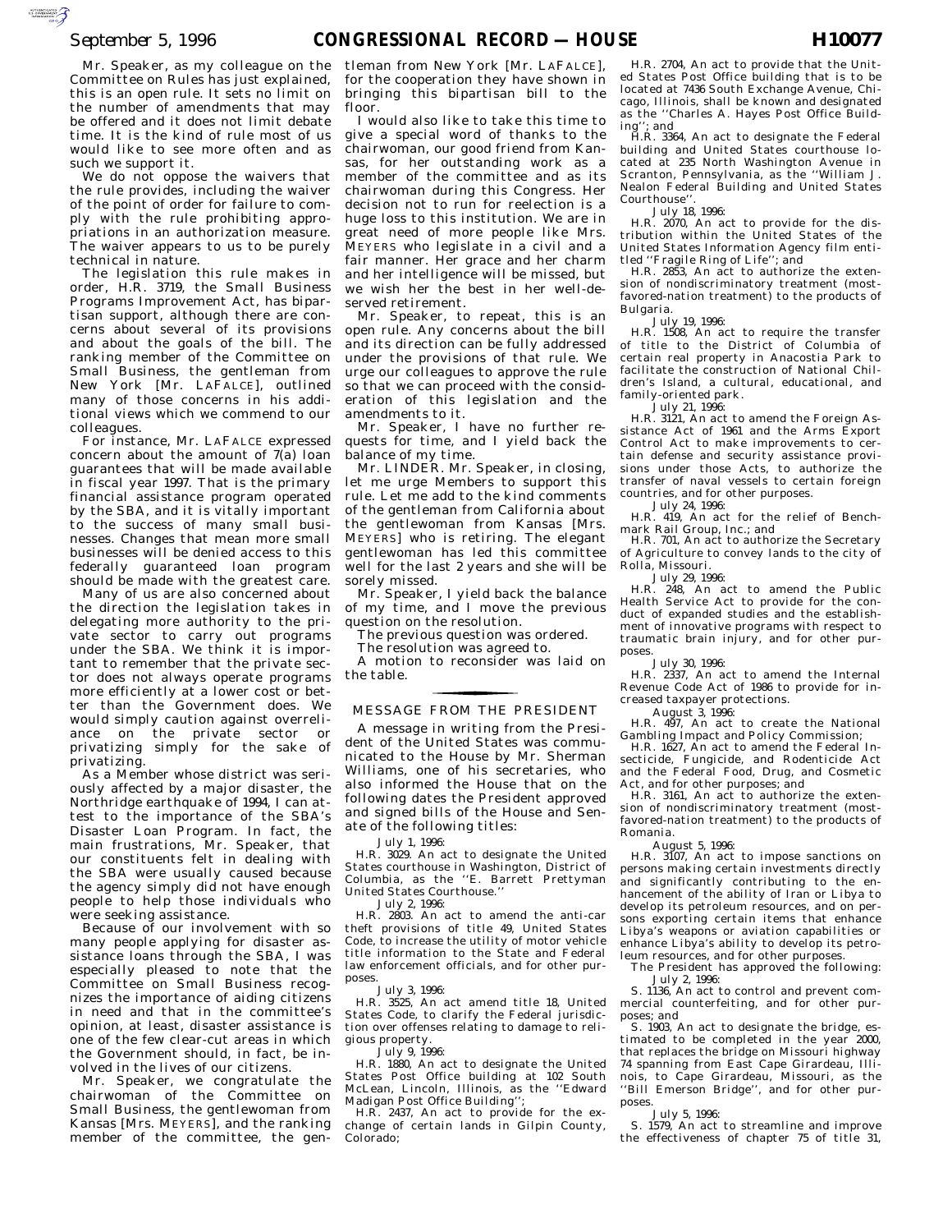Mr. Speaker, as my colleague on the Committee on Rules has just explained, this is an open rule. It sets no limit on the number of amendments that may be offered and it does not limit debate time. It is the kind of rule most of us would like to see more often and as such we support it.

We do not oppose the waivers that the rule provides, including the waiver of the point of order for failure to comply with the rule prohibiting appropriations in an authorization measure. The waiver appears to us to be purely technical in nature.

The legislation this rule makes in order, H.R. 3719, the Small Business Programs Improvement Act, has bipartisan support, although there are concerns about several of its provisions and about the goals of the bill. The ranking member of the Committee on Small Business, the gentleman from New York [Mr. LAFALCE], outlined many of those concerns in his additional views which we commend to our colleagues.

For instance, Mr. LAFALCE expressed concern about the amount of  $7(a)$  loan guarantees that will be made available in fiscal year 1997. That is the primary financial assistance program operated by the SBA, and it is vitally important to the success of many small businesses. Changes that mean more small businesses will be denied access to this federally guaranteed loan program should be made with the greatest care.

Many of us are also concerned about the direction the legislation takes in delegating more authority to the private sector to carry out programs under the SBA. We think it is important to remember that the private sector does not always operate programs more efficiently at a lower cost or better than the Government does. We would simply caution against overreliance on the private sector or privatizing simply for the sake of privatizing.

As a Member whose district was seriously affected by a major disaster, the Northridge earthquake of 1994, I can attest to the importance of the SBA's Disaster Loan Program. In fact, the main frustrations, Mr. Speaker, that our constituents felt in dealing with the SBA were usually caused because the agency simply did not have enough people to help those individuals who were seeking assistance.

Because of our involvement with so many people applying for disaster assistance loans through the SBA, I was especially pleased to note that the Committee on Small Business recognizes the importance of aiding citizens in need and that in the committee's opinion, at least, disaster assistance is one of the few clear-cut areas in which the Government should, in fact, be involved in the lives of our citizens.

Mr. Speaker, we congratulate the chairwoman of the Committee on Small Business, the gentlewoman from Kansas [Mrs. MEYERS], and the ranking member of the committee, the gen-

tleman from New York [Mr. LAFALCE], for the cooperation they have shown in bringing this bipartisan bill to the floor.

I would also like to take this time to give a special word of thanks to the chairwoman, our good friend from Kansas, for her outstanding work as a member of the committee and as its chairwoman during this Congress. Her decision not to run for reelection is a huge loss to this institution. We are in great need of more people like Mrs. MEYERS who legislate in a civil and a fair manner. Her grace and her charm and her intelligence will be missed, but we wish her the best in her well-deserved retirement.

Mr. Speaker, to repeat, this is an open rule. Any concerns about the bill and its direction can be fully addressed under the provisions of that rule. We urge our colleagues to approve the rule so that we can proceed with the consideration of this legislation and the amendments to it.

Mr. Speaker, I have no further requests for time, and I yield back the balance of my time.

Mr. LINDER. Mr. Speaker, in closing, let me urge Members to support this rule. Let me add to the kind comments of the gentleman from California about the gentlewoman from Kansas [Mrs. MEYERS] who is retiring. The elegant gentlewoman has led this committee well for the last 2 years and she will be sorely missed.

Mr. Speaker, I yield back the balance of my time, and I move the previous question on the resolution.

The previous question was ordered.

The resolution was agreed to.

A motion to reconsider was laid on the table.

# MESSAGE FROM THE PRESIDENT for the contract of the contract of

A message in writing from the President of the United States was communicated to the House by Mr. Sherman Williams, one of his secretaries, who also informed the House that on the following dates the President approved and signed bills of the House and Senate of the following titles:

#### July 1, 1996:

H.R. 3029. An act to designate the United States courthouse in Washington, District of Columbia, as the ''E. Barrett Prettyman United States Courthouse.''

July 2, 1996:

H.R. 2803. An act to amend the anti-car theft provisions of title 49, United States Code, to increase the utility of motor vehicle title information to the State and Federal law enforcement officials, and for other purposes.

July 3, 1996:

H.R. 3525, An act amend title 18, United States Code, to clarify the Federal jurisdiction over offenses relating to damage to religious property.

 $\overline{J}$ uly 9, 1996:

H.R. 1880, An act to designate the United States Post Office building at 102 South McLean, Lincoln, Illinois, as the ''Edward Madigan Post Office Building'';

H.R. 2437, An act to provide for the exchange of certain lands in Gilpin County, Colorado;

H.R. 2704, An act to provide that the United States Post Office building that is to be located at 7436 South Exchange Avenue, Chicago, Illinois, shall be known and designated as the ''Charles A. Hayes Post Office Build-

ing''; and H.R. 3364, An act to designate the Federal building and United States courthouse located at 235 North Washington Avenue in Scranton, Pennsylvania, as the ''William J. Nealon Federal Building and United States Courthouse''.

July 18, 1996: H.R. 2070, An act to provide for the dis-tribution within the United States of the United States Information Agency film entitled ''Fragile Ring of Life''; and H.R. 2853, An act to authorize the exten-

sion of nondiscriminatory treatment (mostfavored-nation treatment) to the products of Bulgaria.

July 19, 1996:

H.R. 1508, An act to require the transfer of title to the District of Columbia of certain real property in Anacostia Park to facilitate the construction of National Children's Island, a cultural, educational, and family-oriented park.

July 21, 1996: H.R. 3121, An act to amend the Foreign Assistance Act of 1961 and the Arms Export Control Act to make improvements to certain defense and security assistance provisions under those Acts, to authorize the transfer of naval vessels to certain foreign countries, and for other purposes.

July 24, 1996: H.R. 419, An act for the relief of Benchmark Rail Group, Inc.; and

H.R. 701, An act to authorize the Secretary of Agriculture to convey lands to the city of Rolla, Missouri.

July 29, 1996: H.R. 248, An act to amend the Public Health Service Act to provide for the conduct of expanded studies and the establishment of innovative programs with respect to traumatic brain injury, and for other purposes.

July 30, 1996:

H.R. 2337, An act to amend the Internal Revenue Code Act of 1986 to provide for increased taxpayer protections.

August 3, 1996:

H.R. 497, An act to create the National Gambling Impact and Policy Commission;

H.R. 1627, An act to amend the Federal Insecticide, Fungicide, and Rodenticide Act and the Federal Food, Drug, and Cosmetic Act, and for other purposes; and

H.R. 3161, An act to authorize the extension of nondiscriminatory treatment (mostfavored-nation treatment) to the products of Romania.

August 5, 1996:

H.R. 3107, An act to impose sanctions on persons making certain investments directly and significantly contributing to the enhancement of the ability of Iran or Libya to develop its petroleum resources, and on persons exporting certain items that enhance Libya's weapons or aviation capabilities or enhance Libya's ability to develop its petroleum resources, and for other purposes.

The President has approved the following: July 2, 1996:

S. 1136, An act to control and prevent commercial counterfeiting, and for other purposes; and

S. 1903, An act to designate the bridge, estimated to be completed in the year 2000, that replaces the bridge on Missouri highway 74 spanning from East Cape Girardeau, Illinois, to Cape Girardeau, Missouri, as the ''Bill Emerson Bridge'', and for other purposes.

July 5, 1996:

S. 1579, An act to streamline and improve the effectiveness of chapter 75 of title 31,